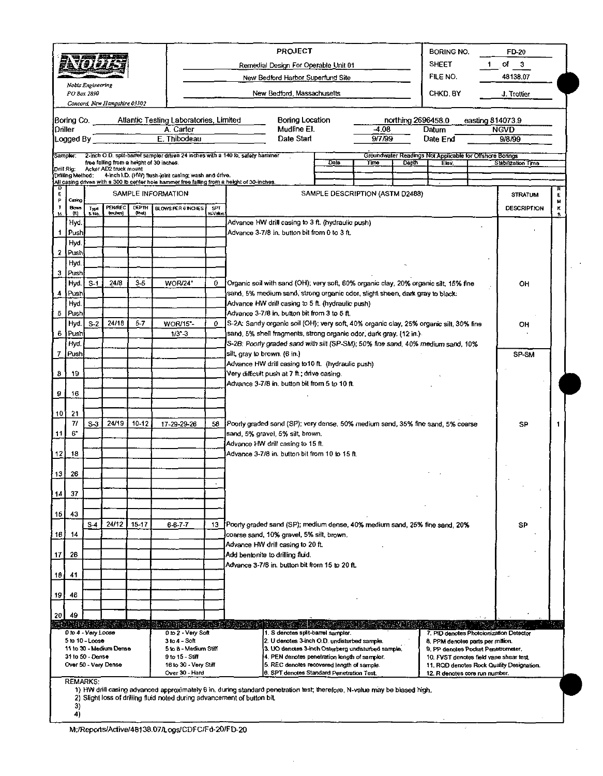| 物理<br>Nobis Engineering                                           |                      |                                        |                         |                 |                                                      |        | <b>PROJECT</b><br>BORING NO.                                                                                                                                                                         |                                                                                      | FD-20                 |        |  |  |
|-------------------------------------------------------------------|----------------------|----------------------------------------|-------------------------|-----------------|------------------------------------------------------|--------|------------------------------------------------------------------------------------------------------------------------------------------------------------------------------------------------------|--------------------------------------------------------------------------------------|-----------------------|--------|--|--|
|                                                                   |                      |                                        |                         |                 |                                                      |        | <b>SHEET</b><br>Remedial Design For Operable Unit 01                                                                                                                                                 |                                                                                      | of $3$                |        |  |  |
|                                                                   |                      |                                        |                         |                 |                                                      |        | FILE NO.<br>New Bedford Harbor Superfund Site                                                                                                                                                        |                                                                                      | 48138.07              |        |  |  |
| PO Box 2890<br>Concord, New Hampshire 03302                       |                      |                                        |                         |                 |                                                      |        | New Bedford, Massachusetts<br>CHKD, BY                                                                                                                                                               |                                                                                      | J. Trottier           |        |  |  |
|                                                                   |                      |                                        |                         |                 |                                                      |        |                                                                                                                                                                                                      |                                                                                      |                       |        |  |  |
|                                                                   |                      |                                        |                         |                 | Boring Co. Atlantic Testing Laboratories, Limited    |        | Boring Location<br>northing 2696458.0                                                                                                                                                                | easting 814073.9                                                                     |                       |        |  |  |
|                                                                   | Driller<br>Logged By |                                        |                         |                 | A. Carter<br>E. Thibodeau                            |        | Mudline El.<br>-4.08<br>Datum<br>9/7/99<br>Date Start<br>Date End                                                                                                                                    |                                                                                      | <b>NGVD</b><br>9/8/99 |        |  |  |
|                                                                   | Sampler:             |                                        |                         |                 |                                                      |        | 2-inch O.D. split-barret sampler driven 24 inches with a 140 lb, safety hammer<br>Groundwater Readings Not Applicable for Offshore Bonngs                                                            |                                                                                      |                       |        |  |  |
|                                                                   | Drill Rig:           |                                        | Acker AD2 truck mount   |                 | free falling from a height of 30 inches.             |        | Date<br>Time<br><b>Depth</b><br>Elev.                                                                                                                                                                |                                                                                      | Stabilization Time    |        |  |  |
|                                                                   | Drilling Method:     |                                        |                         |                 | 4-inch I.D. (HW) flush-joint casing; wash and drive. |        | All casing driven with a 300 lb center hole hammer free falling from a height of 30-inches.                                                                                                          |                                                                                      |                       |        |  |  |
| Ð<br>E                                                            |                      |                                        | SAMPLE INFORMATION      |                 |                                                      |        | SAMPLE DESCRIPTION (ASTM D2488)                                                                                                                                                                      |                                                                                      | <b>STRATUM</b>        | Е      |  |  |
| P<br>$\mathbf{r}$                                                 | Casing<br>Blows      | Type                                   | PENAREC<br>(inches)     | DEPTH<br>(leet) | SPT<br>BLOWS PER 6 INCHES                            |        |                                                                                                                                                                                                      |                                                                                      | <b>DESCRIPTION</b>    | м<br>κ |  |  |
| н                                                                 | (0)<br>Hyd.          | ß۲۸.                                   |                         |                 |                                                      | N Yaku | Advance HW drill casing to 3 ft. (hydraulic push)                                                                                                                                                    |                                                                                      |                       | S.     |  |  |
| 1                                                                 | ∣Push                |                                        |                         |                 |                                                      |        | Advance 3-7/8 in, button bit from 0 to 3 ft,                                                                                                                                                         |                                                                                      |                       |        |  |  |
|                                                                   | Hyd.<br>2 Push       |                                        |                         |                 |                                                      |        |                                                                                                                                                                                                      |                                                                                      |                       |        |  |  |
|                                                                   | Hyd.                 |                                        |                         |                 |                                                      |        |                                                                                                                                                                                                      |                                                                                      |                       |        |  |  |
|                                                                   | 3 Push               |                                        |                         | $3 - 5$         |                                                      | 0      |                                                                                                                                                                                                      |                                                                                      |                       |        |  |  |
| 4                                                                 | Hyd.<br>Push         | $S-1$                                  | 24/8                    |                 | WOR/24"                                              |        | Organic soil with sand (OH); very soft, 60% organic clay, 20% organic silt; 15% fine<br>sand, 5% medium sand, strong organic odor, slight sheen, dark gray to black:                                 |                                                                                      | он                    |        |  |  |
|                                                                   | Hyd.                 |                                        |                         |                 |                                                      |        | Advance HW drill casing to 5 ft. (hydraulic push)                                                                                                                                                    |                                                                                      |                       |        |  |  |
|                                                                   | 5 Push<br>Hyd.       | $S-2$                                  | 24/18                   | 5-7             | <b>WOR/15"-</b>                                      | 0.     | Advance 3-7/8 in, button bit from 3 to 5 ft.<br>S-2A: Sandy organic soil (OH); very soft, 40% organic clay, 25% organic silt, 30% fine                                                               |                                                                                      |                       |        |  |  |
| 6                                                                 | Push                 |                                        |                         |                 | $1/3 - 3$                                            |        | sand, 5% shell fragments, strong organic odor, dark gray. (12 in.).                                                                                                                                  | он                                                                                   |                       |        |  |  |
|                                                                   | Hyd.                 |                                        |                         |                 |                                                      |        | S-2B. Poorly graded sand with silt (SP-SM); 50% fine sand, 40% medium sand, 10%                                                                                                                      |                                                                                      |                       |        |  |  |
|                                                                   | <b>Push</b>          |                                        |                         |                 |                                                      |        | silt, gray to brown. (6 in.)<br>Advance HW drill casing to 10 ft. (hydraulic push)                                                                                                                   |                                                                                      | SP-SM                 |        |  |  |
| 8                                                                 | 19                   |                                        |                         |                 |                                                      |        | Very difficult push at 7 ft.; drive casing.                                                                                                                                                          |                                                                                      |                       |        |  |  |
|                                                                   |                      |                                        |                         |                 |                                                      |        | Advance 3-7/8 in. button bit from 5 to 10 ft.                                                                                                                                                        |                                                                                      |                       |        |  |  |
| 9.                                                                | 16                   |                                        |                         |                 |                                                      |        |                                                                                                                                                                                                      |                                                                                      |                       |        |  |  |
| 101                                                               | 21                   |                                        |                         |                 |                                                      |        |                                                                                                                                                                                                      |                                                                                      |                       |        |  |  |
| 11                                                                | 71<br>6"             | $S-3$                                  | 24/19                   | $10 - 12$       | 17-29-29-26                                          | 58     | Poorly graded sand (SP); very dense, 50% medium sand, 35% fine sand, 5% coarse<br>sand, 5% gravel, 5% silt, brown.                                                                                   |                                                                                      | SP                    |        |  |  |
|                                                                   |                      |                                        |                         |                 |                                                      |        | Advance HW drill casing to 15 ft.                                                                                                                                                                    |                                                                                      |                       |        |  |  |
| 12                                                                | 18                   |                                        |                         |                 |                                                      |        | Advance 3-7/8 in. button bit from 10 to 15 ft.                                                                                                                                                       |                                                                                      |                       |        |  |  |
| 13 J                                                              | 26                   |                                        |                         |                 |                                                      |        |                                                                                                                                                                                                      |                                                                                      |                       |        |  |  |
|                                                                   |                      |                                        |                         |                 |                                                      |        |                                                                                                                                                                                                      |                                                                                      |                       |        |  |  |
| 4                                                                 | 37                   |                                        |                         |                 |                                                      |        |                                                                                                                                                                                                      |                                                                                      |                       |        |  |  |
| 15                                                                | 43                   |                                        |                         |                 |                                                      |        |                                                                                                                                                                                                      |                                                                                      |                       |        |  |  |
|                                                                   |                      | $S-4$                                  | 24/12                   | $15 - 17$       | $6 - 6 - 7 - 7$                                      | 13.    | Poorly graded sand (SP); medium dense, 40% medium sand, 25% fine sand, 20%                                                                                                                           |                                                                                      |                       |        |  |  |
| 16                                                                | -14                  |                                        |                         |                 |                                                      |        | coarse sand, 10% gravel, 5% silt, brown.<br>Advance HW drill casing to 20 ft.                                                                                                                        |                                                                                      |                       |        |  |  |
| 17                                                                | 26                   |                                        |                         |                 |                                                      |        | Add bentonite to drilling fluid.                                                                                                                                                                     |                                                                                      |                       |        |  |  |
|                                                                   |                      |                                        |                         |                 |                                                      |        | Advance 3-7/8 in. button bit from 15 to 20 ft.                                                                                                                                                       |                                                                                      |                       |        |  |  |
| 18                                                                | 41                   |                                        |                         |                 |                                                      |        |                                                                                                                                                                                                      |                                                                                      |                       |        |  |  |
| 19                                                                | 46                   |                                        |                         |                 |                                                      |        |                                                                                                                                                                                                      |                                                                                      |                       |        |  |  |
| 20                                                                | 49                   |                                        |                         |                 |                                                      |        |                                                                                                                                                                                                      |                                                                                      |                       |        |  |  |
|                                                                   | kalendar             |                                        |                         | tickalista      |                                                      |        |                                                                                                                                                                                                      |                                                                                      |                       |        |  |  |
|                                                                   |                      | 0 to 4 - Very Loose<br>5 to 10 - Loose |                         |                 | 0 to 2 - Very Soft<br>3 to 4 - Soft                  |        | 1. S denotes split-barrel sampler.<br>7. PID denotes Photoionization Detector<br>2. U denotes 3-inch O.D. undisturbed sample.<br>8. PPM denotes parts per million.                                   |                                                                                      |                       |        |  |  |
|                                                                   |                      |                                        | 11 to 30 - Medium Dense |                 | 5 to 8 - Medium Stiff<br>9 to 15 - Stiff             |        | 3. UO denotes 3-inch Osterberg undisturbed sample,<br>9. PP denotes Pocket Penetrometer.<br>4. PEN denotes penetration length of sampler.                                                            |                                                                                      |                       |        |  |  |
| 31 to 50 - Dense<br>Over 50 - Very Dense<br>16 to 30 - Very Stiff |                      |                                        |                         |                 |                                                      |        | 5. REC denotes recovered length of sample.                                                                                                                                                           | 10. FVST denotes field vane shear test.<br>11. RQD denotes Rock Quality Designation. |                       |        |  |  |
|                                                                   |                      | <b>REMARKS:</b>                        |                         |                 | Over 30 - Hard                                       |        | 6. SPT denotes Standard Penetration Test.<br>12. R denotes core run number.                                                                                                                          |                                                                                      |                       |        |  |  |
|                                                                   |                      |                                        |                         |                 |                                                      |        | 1) HW drill casing advanced approximately 6 in, during standard penetration test; therefore, N-value may be biased high,<br>2) Slight loss of drilling fluid noted during advancement of button bit. |                                                                                      |                       |        |  |  |
|                                                                   | 3)                   |                                        |                         |                 |                                                      |        |                                                                                                                                                                                                      |                                                                                      |                       |        |  |  |
|                                                                   | 4)                   |                                        |                         |                 |                                                      |        |                                                                                                                                                                                                      |                                                                                      |                       |        |  |  |

 $\mathcal{L}$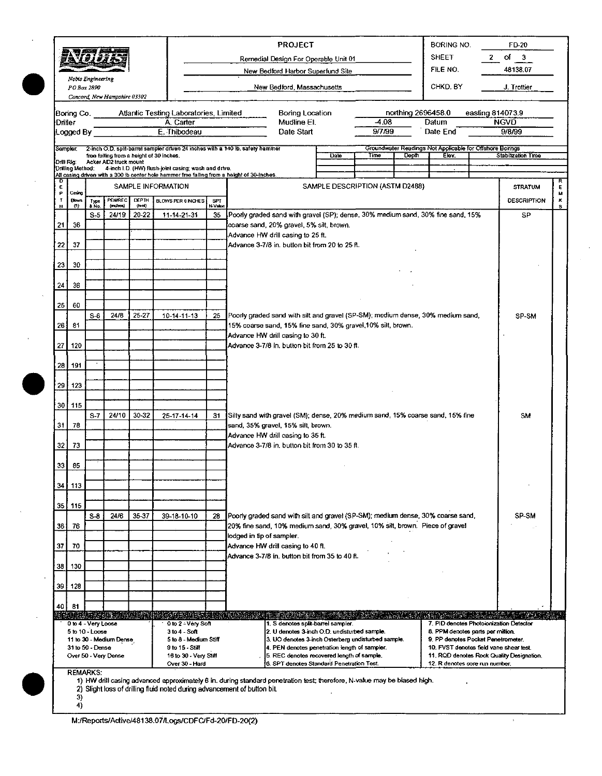|                 |                  |                                            |                              |                           |                                                                |                       | <b>PROJECT</b>                                                                                                                                                  |      |                                 |                    | BORING NO.                                                                                                         | FD-20                   |              |
|-----------------|------------------|--------------------------------------------|------------------------------|---------------------------|----------------------------------------------------------------|-----------------------|-----------------------------------------------------------------------------------------------------------------------------------------------------------------|------|---------------------------------|--------------------|--------------------------------------------------------------------------------------------------------------------|-------------------------|--------------|
|                 |                  | 5a 731                                     |                              |                           |                                                                |                       | Remedial Design For Operable Unit 01<br>New Bedford Harbor Superfund Site                                                                                       |      |                                 |                    | <b>SHEET</b><br>FILE NO.                                                                                           | of $3$<br>2<br>48138.07 |              |
|                 |                  | Nobis Engineering<br>PO Box 2890           |                              |                           |                                                                |                       |                                                                                                                                                                 |      |                                 |                    | CHKD, BY                                                                                                           |                         |              |
|                 |                  |                                            | Concord, New Hampshire 03302 |                           |                                                                |                       | New Bedford, Massachusetts                                                                                                                                      |      |                                 |                    |                                                                                                                    | J. Trottier             |              |
|                 |                  |                                            |                              |                           | Boring Co. Atlantic Testing Laboratories, Limited              |                       | Boring Location                                                                                                                                                 |      |                                 | northing 2696458.0 |                                                                                                                    | easting 814073.9        |              |
| Driller         | Logged By        |                                            |                              |                           | A. Carter<br>E. Thibodeau                                      |                       | Mudline El.<br>Date Start                                                                                                                                       |      | -4.08<br>97/99                  |                    | Datum<br>Date End                                                                                                  | <b>NGVD</b><br>9/8/99   |              |
|                 |                  |                                            |                              |                           |                                                                |                       |                                                                                                                                                                 |      |                                 |                    |                                                                                                                    |                         |              |
| Drill Rig:      | Sampler          |                                            | Acker AD2 truck mount        |                           | free falling from a height of 30 inches.                       |                       | 2-inch O.D. split-barrel sampler driven 24 inches with a 140 lb. safety hammer                                                                                  | Date | Time                            | Depth              | Groundwater Readings Not Applicable for Offshore Borings<br>Elev.                                                  | Stabilization Time      |              |
|                 | Drilling Method: |                                            |                              |                           | 4-inch I.D. (HW) flush-joint casing; wash and drive.           |                       | All casing driven with a 300 lb center hole hammer free falling from a height of 30-inches.                                                                     |      |                                 |                    | $\bullet$                                                                                                          |                         |              |
| E<br>Р          | Casing           |                                            |                              |                           | SAMPLE INFORMATION                                             |                       |                                                                                                                                                                 |      | SAMPLE DESCRIPTION (ASTM D2488) |                    |                                                                                                                    | <b>STRATUM</b>          | R<br>E.<br>м |
| Ţ<br>н          | Bows.<br>(11)    | Турс<br>& No.                              | PENREC<br>(inches)           | <b>DEPTH</b><br>${0}$ ed) | <b>BLOWS PER 8 INCHES</b>                                      | <b>SPT</b><br>N-Value |                                                                                                                                                                 |      |                                 |                    |                                                                                                                    | <b>DESCRIPTION</b>      | к<br>s       |
|                 |                  | $S-5$                                      | 24/19                        | 20-22                     | 11-14-21-31                                                    | 35                    | Poorly graded sand with gravel (SP); dense, 30% medium sand, 30% fine sand, 15%                                                                                 |      |                                 |                    |                                                                                                                    | SP                      |              |
| 21              | 36               |                                            |                              |                           |                                                                |                       | coarse sand, 20% gravel, 5% silt, brown.<br>Advance HW drill casing to 25 ft.                                                                                   |      |                                 |                    |                                                                                                                    |                         |              |
| 22 j            | -37              |                                            |                              |                           |                                                                |                       | Advance 3-7/8 in, button bit from 20 to 25 ft.                                                                                                                  |      |                                 |                    |                                                                                                                    |                         |              |
| 23              | -30              |                                            |                              |                           |                                                                |                       |                                                                                                                                                                 |      |                                 |                    |                                                                                                                    |                         |              |
|                 |                  |                                            |                              |                           |                                                                |                       |                                                                                                                                                                 |      |                                 |                    |                                                                                                                    |                         |              |
| $24^{\circ}$    | 36               |                                            |                              |                           |                                                                |                       |                                                                                                                                                                 |      |                                 |                    |                                                                                                                    |                         |              |
| $25^{\circ}$    | 60               |                                            |                              |                           |                                                                |                       |                                                                                                                                                                 |      |                                 |                    |                                                                                                                    |                         |              |
| 261             | 81               | $S-6$                                      | 24/8                         | 25-27                     | 10-14-11-13                                                    | 25                    | Poorly graded sand with silt and gravel (SP-SM); medium dense, 30% medium sand,<br>15% coarse sand, 15% fine sand, 30% gravel, 10% silt, brown.                 |      |                                 |                    |                                                                                                                    | SP-SM                   |              |
|                 |                  |                                            |                              |                           |                                                                |                       | Advance HW drill casing to 30 ft.                                                                                                                               |      |                                 |                    |                                                                                                                    |                         |              |
| 27              | 120              |                                            |                              |                           |                                                                |                       | Advance 3-7/8 in, button bit from 25 to 30 ft.                                                                                                                  |      |                                 |                    |                                                                                                                    |                         |              |
|                 | 28   191         |                                            |                              |                           |                                                                |                       |                                                                                                                                                                 |      |                                 |                    |                                                                                                                    |                         |              |
|                 | 29 123           |                                            |                              |                           |                                                                |                       |                                                                                                                                                                 |      |                                 |                    |                                                                                                                    |                         |              |
|                 | 30 115           |                                            |                              |                           |                                                                |                       |                                                                                                                                                                 |      |                                 |                    |                                                                                                                    |                         |              |
|                 |                  | $S-7$                                      | 24/10                        | 30-32                     | 25-17-14-14                                                    | 31.                   | Silty sand with gravel (SM); dense, 20% medium sand, 15% coarse sand, 15% fine                                                                                  |      |                                 |                    |                                                                                                                    | SM                      |              |
| 31              | 78               |                                            |                              |                           |                                                                |                       | sand, 35% gravel, 15% silt, brown.<br>Advance HW drill casing to 35 ft.                                                                                         |      |                                 |                    |                                                                                                                    |                         |              |
| 32 <sub>1</sub> | 73               |                                            |                              |                           |                                                                |                       | Advance 3-7/8 in, button bit from 30 to 35 ft.                                                                                                                  |      |                                 |                    |                                                                                                                    |                         |              |
| 33              | 85               |                                            |                              |                           |                                                                |                       |                                                                                                                                                                 |      |                                 |                    |                                                                                                                    |                         |              |
|                 |                  |                                            |                              |                           |                                                                |                       |                                                                                                                                                                 |      |                                 |                    |                                                                                                                    |                         |              |
| 34              | 113              |                                            |                              |                           |                                                                |                       |                                                                                                                                                                 |      |                                 |                    |                                                                                                                    |                         |              |
|                 | 35   115         |                                            |                              |                           |                                                                |                       |                                                                                                                                                                 |      |                                 |                    |                                                                                                                    |                         |              |
| 36              | 76               | $S-8$                                      | 24/6                         | 35-37                     | 39-18-10-10                                                    | 28                    | Poorly graded sand with silt and gravel (SP-SM); medium dense, 30% coarse sand,<br>20% fine sand, 10% medium sand, 30% gravel, 10% silt, brown. Piece of gravel |      |                                 |                    |                                                                                                                    | SP-SM                   |              |
|                 |                  |                                            |                              |                           |                                                                |                       | lodged in tip of sampler.                                                                                                                                       |      |                                 |                    |                                                                                                                    |                         |              |
| 37              | 70               |                                            |                              |                           |                                                                |                       | Advance HW drill casing to 40 ft.<br>Advance 3-7/8 in, button bit from 35 to 40 ft.                                                                             |      |                                 |                    |                                                                                                                    |                         |              |
| 38              | 130              |                                            |                              |                           |                                                                |                       |                                                                                                                                                                 |      |                                 |                    |                                                                                                                    |                         |              |
| 39              | 128              |                                            |                              |                           |                                                                |                       |                                                                                                                                                                 |      |                                 |                    |                                                                                                                    |                         |              |
| 40              |                  |                                            |                              |                           |                                                                |                       |                                                                                                                                                                 |      |                                 |                    |                                                                                                                    |                         |              |
|                 | 81               |                                            |                              |                           | <u> Alikaran hamar Sanan ada ka</u>                            |                       |                                                                                                                                                                 |      |                                 |                    |                                                                                                                    |                         |              |
|                 |                  | 0 to 4 - Very Loose<br>$5$ to $10 -$ Loose |                              |                           | 0 to 2 - Very Soft<br>$3 to 4 - Soft$<br>5 to 8 - Medium Stiff |                       | 1. S denotes split-barrel sampler.<br>2. U denotes 3-inch O.D. undisturbed sample.                                                                              |      |                                 |                    | 7. PID denotes Photoionization Detector<br>8. PPM denotes parts per million.<br>9. PP denotes Pocket Penetrometer. |                         |              |
|                 |                  | 31 to 50 - Dense                           | 11 to 30 - Medium Dense      |                           | 9 to 15 - Stiff                                                |                       | 3. UO denotes 3-inch Osterberg undisturbed sample.<br>4. PEN denotes penetration length of sampler.                                                             |      |                                 |                    | 10. FVST denotes field vane shear test.                                                                            |                         |              |
|                 |                  |                                            | Over 50 - Very Dense         |                           | 16 to 30 - Very Stiff<br>Over 30 - Hard                        |                       | 5. REC denotes recovered length of sample.<br>6. SPT denotes Standard Penetration Test.                                                                         |      |                                 |                    | 11. RQD denotes Rock Quality Designation.<br>12. R denotes core run number.                                        |                         |              |
|                 |                  | <b>REMARKS:</b>                            |                              |                           |                                                                |                       | 1) HW drill casing advanced approximately 6 in. during standard penetration test; therefore, N-value may be biased high.                                        |      |                                 |                    |                                                                                                                    |                         |              |
|                 | 3)               |                                            |                              |                           |                                                                |                       | 2) Slight loss of drilling fluid noted during advancement of button bit.                                                                                        |      |                                 |                    |                                                                                                                    |                         |              |
|                 | 4)               |                                            |                              |                           |                                                                |                       |                                                                                                                                                                 |      |                                 |                    |                                                                                                                    |                         |              |

 $\hat{\mathbf{y}}$ 

M:/Reports/Active/48138.07/Logs/CDFC/Fd-20/FD-20(2)